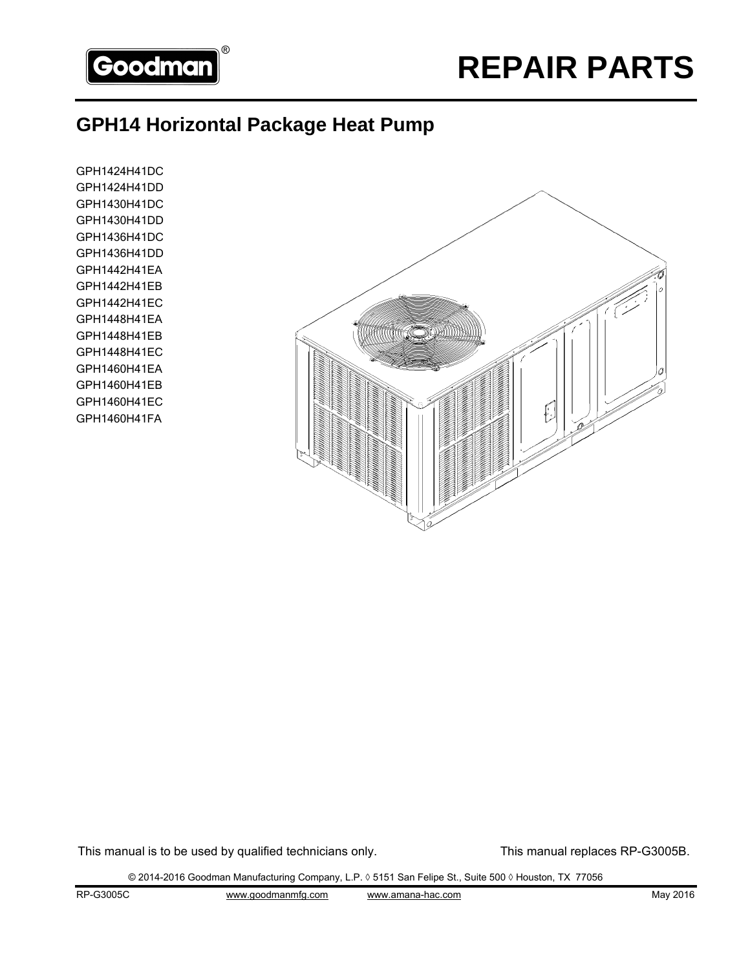

#### **GPH14 Horizontal Package Heat Pump**

GPH1424H41DC GPH1424H41DD GPH1430H41DC GPH1430H41DD GPH1436H41DC GPH1436H41DD GPH1442H41EA GPH1442H41EB GPH1442H41EC GPH1448H41EA GPH1448H41EB GPH1448H41EC GPH1460H41EA GPH1460H41EB GPH1460H41EC GPH1460H41FA



This manual is to be used by qualified technicians only. This manual replaces RP-G3005B.

© 2014-2016 Goodman Manufacturing Company, L.P. ◊ 5151 San Felipe St., Suite 500 ◊ Houston, TX 77056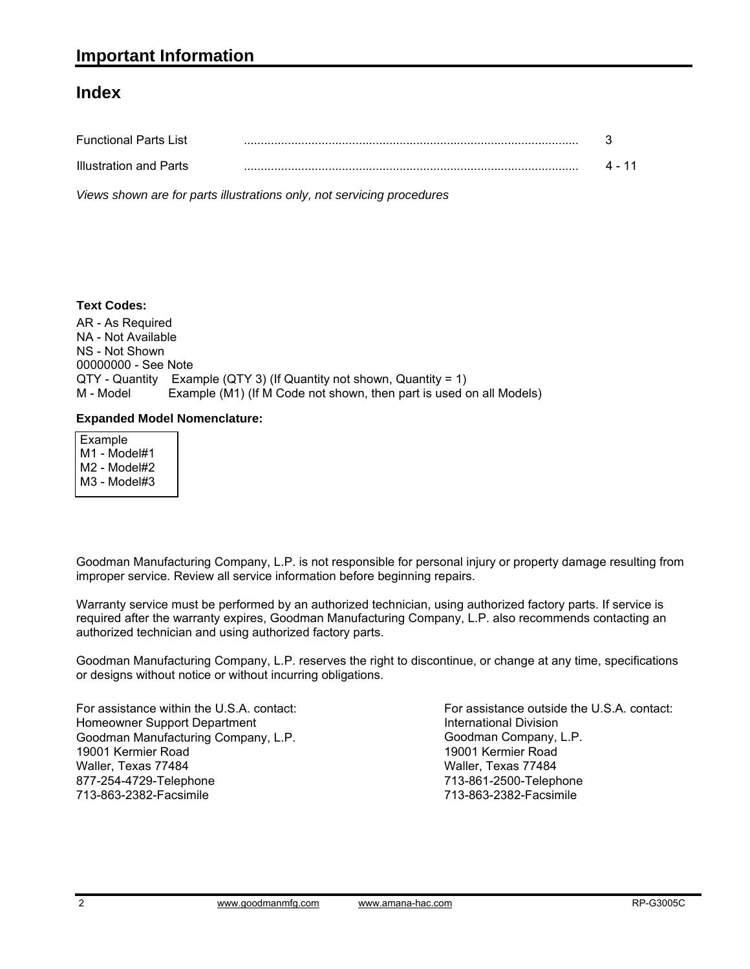#### **Index**

| <b>Functional Parts List</b> |  |
|------------------------------|--|
| Illustration and Parts       |  |

*Views shown are for parts illustrations only, not servicing procedures*

#### **Text Codes:**

AR - As Required NA - Not Available NS - Not Shown 00000000 - See Note  $QTY$  - Quantity Example (QTY 3) (If Quantity not shown, Quantity = 1)<br>M - Model Example (M1) (If M Code not shown, then part is used o Example (M1) (If M Code not shown, then part is used on all Models)

#### **Expanded Model Nomenclature:**

 Example M1 - Model#1 M2 - Model#2 M3 - Model#3

Goodman Manufacturing Company, L.P. is not responsible for personal injury or property damage resulting from improper service. Review all service information before beginning repairs.

Warranty service must be performed by an authorized technician, using authorized factory parts. If service is required after the warranty expires, Goodman Manufacturing Company, L.P. also recommends contacting an authorized technician and using authorized factory parts.

Goodman Manufacturing Company, L.P. reserves the right to discontinue, or change at any time, specifications or designs without notice or without incurring obligations.

For assistance within the U.S.A. contact: Homeowner Support Department Goodman Manufacturing Company, L.P. 19001 Kermier Road Waller, Texas 77484 877-254-4729-Telephone 713-863-2382-Facsimile

For assistance outside the U.S.A. contact: International Division Goodman Company, L.P. 19001 Kermier Road Waller, Texas 77484 713-861-2500-Telephone 713-863-2382-Facsimile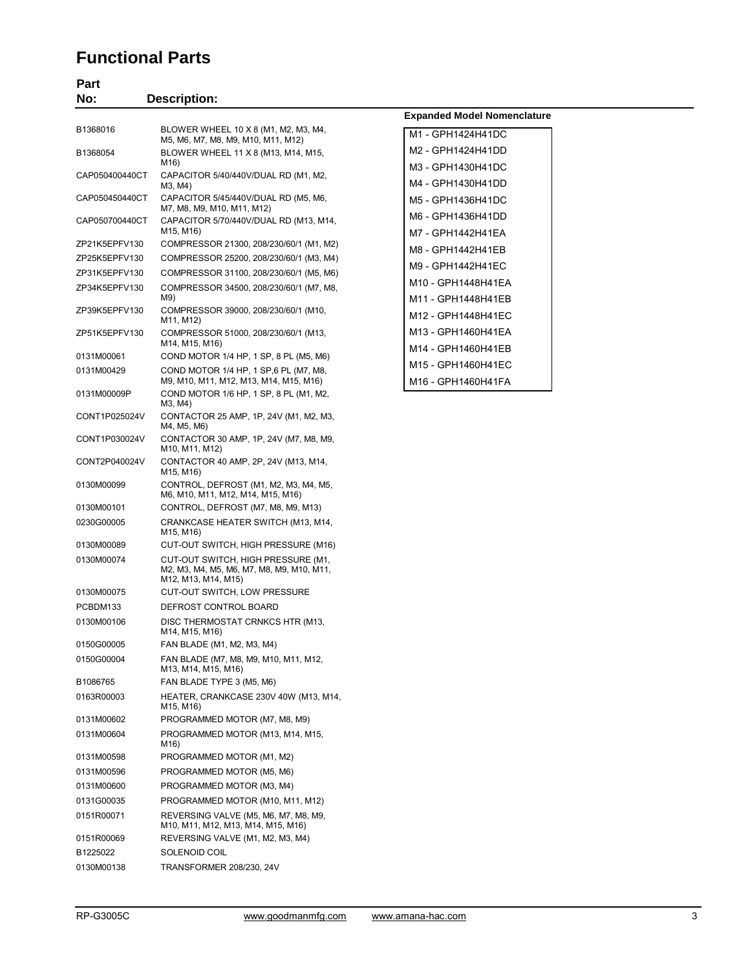#### **Functional Parts**

| No:                            | <b>Description:</b>                                                                                    |                                    |
|--------------------------------|--------------------------------------------------------------------------------------------------------|------------------------------------|
| B1368016                       | BLOWER WHEEL 10 X 8 (M1, M2, M3, M4,                                                                   | <b>Expanded Model Nomenclature</b> |
|                                | M5, M6, M7, M8, M9, M10, M11, M12)                                                                     | M1 - GPH1424H41DC                  |
| B1368054                       | BLOWER WHEEL 11 X 8 (M13, M14, M15,<br>M16)                                                            | M2 - GPH1424H41DD                  |
| CAP050400440CT                 | CAPACITOR 5/40/440V/DUAL RD (M1, M2,                                                                   | M3 - GPH1430H41DC                  |
|                                | M3, M4)                                                                                                | M4 - GPH1430H41DD                  |
| CAP050450440CT                 | CAPACITOR 5/45/440V/DUAL RD (M5, M6,<br>M7, M8, M9, M10, M11, M12)                                     | M5 - GPH1436H41DC                  |
| CAP050700440CT                 | CAPACITOR 5/70/440V/DUAL RD (M13, M14,                                                                 | M6 - GPH1436H41DD                  |
|                                | M15, M16)                                                                                              | M7 - GPH1442H41EA                  |
| ZP21K5EPFV130                  | COMPRESSOR 21300, 208/230/60/1 (M1, M2)                                                                | M8 - GPH1442H41EB                  |
| ZP25K5EPFV130<br>ZP31K5EPFV130 | COMPRESSOR 25200, 208/230/60/1 (M3, M4)<br>COMPRESSOR 31100, 208/230/60/1 (M5, M6)                     | M9 - GPH1442H41EC                  |
| ZP34K5EPFV130                  | COMPRESSOR 34500, 208/230/60/1 (M7, M8,                                                                | M10 - GPH1448H41EA                 |
|                                | M9)                                                                                                    | M11 - GPH1448H41EB                 |
| ZP39K5EPFV130                  | COMPRESSOR 39000, 208/230/60/1 (M10,                                                                   | M12 - GPH1448H41EC                 |
| ZP51K5EPFV130                  | M11, M12)<br>COMPRESSOR 51000, 208/230/60/1 (M13,                                                      | M13 - GPH1460H41EA                 |
|                                | M14, M15, M16)                                                                                         | M14 - GPH1460H41EB                 |
| 0131M00061                     | COND MOTOR 1/4 HP, 1 SP, 8 PL (M5, M6)                                                                 | M15 - GPH1460H41EC                 |
| 0131M00429                     | COND MOTOR 1/4 HP, 1 SP, 6 PL (M7, M8,<br>M9, M10, M11, M12, M13, M14, M15, M16)                       |                                    |
| 0131M00009P                    | COND MOTOR 1/6 HP, 1 SP, 8 PL (M1, M2,<br>M3, M4)                                                      | M16 - GPH1460H41FA                 |
| CONT1P025024V                  | CONTACTOR 25 AMP, 1P, 24V (M1, M2, M3,<br>M4, M5, M6)                                                  |                                    |
| CONT1P030024V                  | CONTACTOR 30 AMP, 1P, 24V (M7, M8, M9,<br>M10, M11, M12)                                               |                                    |
| CONT2P040024V                  | CONTACTOR 40 AMP, 2P, 24V (M13, M14,<br>M15, M16)                                                      |                                    |
| 0130M00099                     | CONTROL, DEFROST (M1, M2, M3, M4, M5,<br>M6, M10, M11, M12, M14, M15, M16)                             |                                    |
| 0130M00101                     | CONTROL, DEFROST (M7, M8, M9, M13)                                                                     |                                    |
| 0230G00005                     | CRANKCASE HEATER SWITCH (M13, M14,<br>M15, M16)                                                        |                                    |
| 0130M00089                     | CUT-OUT SWITCH, HIGH PRESSURE (M16)                                                                    |                                    |
| 0130M00074                     | CUT-OUT SWITCH, HIGH PRESSURE (M1,<br>M2, M3, M4, M5, M6, M7, M8, M9, M10, M11,<br>M12, M13, M14, M15) |                                    |
| 0130M00075                     | CUT-OUT SWITCH, LOW PRESSURE                                                                           |                                    |
| PCBDM133                       | DEFROST CONTROL BOARD                                                                                  |                                    |
| 0130M00106                     | DISC THERMOSTAT CRNKCS HTR (M13,<br>M14, M15, M16)                                                     |                                    |
| 0150G00005                     | FAN BLADE (M1, M2, M3, M4)                                                                             |                                    |
| 0150G00004                     | FAN BLADE (M7, M8, M9, M10, M11, M12,<br>M13, M14, M15, M16)                                           |                                    |
| B1086765                       | FAN BLADE TYPE 3 (M5, M6)                                                                              |                                    |
| 0163R00003                     | HEATER, CRANKCASE 230V 40W (M13, M14,<br>M15, M16)                                                     |                                    |
| 0131M00602                     | PROGRAMMED MOTOR (M7, M8, M9)                                                                          |                                    |
| 0131M00604                     | PROGRAMMED MOTOR (M13, M14, M15,<br>M16)                                                               |                                    |
| 0131M00598                     | PROGRAMMED MOTOR (M1, M2)                                                                              |                                    |
| 0131M00596                     | PROGRAMMED MOTOR (M5, M6)                                                                              |                                    |
| 0131M00600                     | PROGRAMMED MOTOR (M3, M4)                                                                              |                                    |
| 0131G00035                     | PROGRAMMED MOTOR (M10, M11, M12)                                                                       |                                    |
| 0151R00071                     | REVERSING VALVE (M5, M6, M7, M8, M9,<br>M10, M11, M12, M13, M14, M15, M16)                             |                                    |
| 0151R00069                     | REVERSING VALVE (M1, M2, M3, M4)                                                                       |                                    |
| B1225022                       | SOLENOID COIL                                                                                          |                                    |
| 0130M00138                     | TRANSFORMER 208/230, 24V                                                                               |                                    |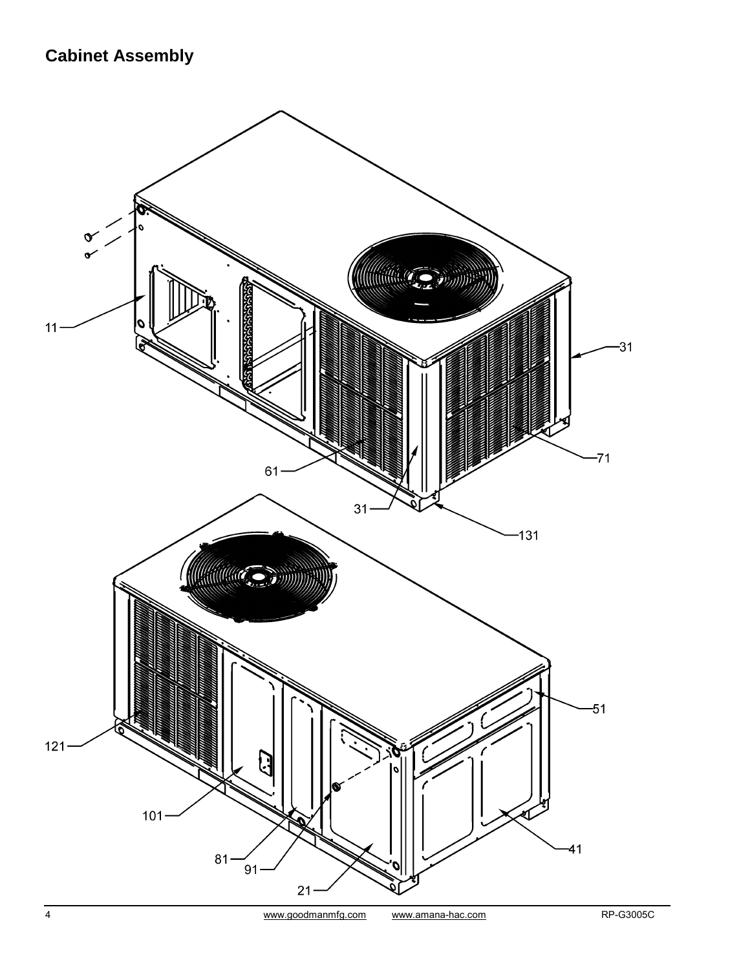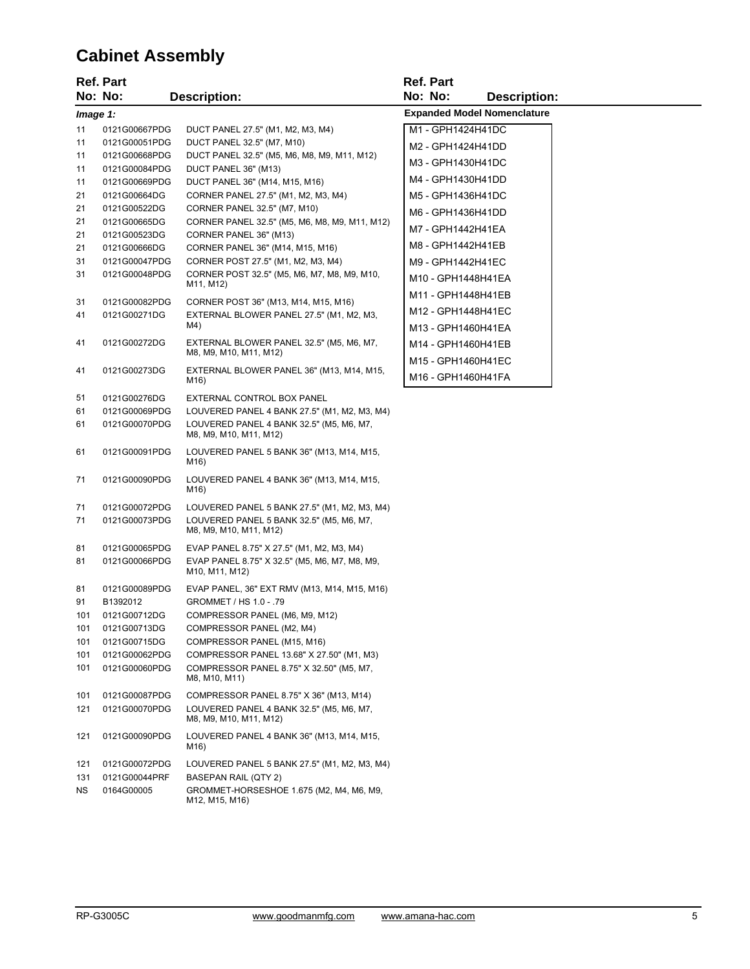# **Cabinet Assembly**

|            | <b>Ref. Part</b>               |                                                                                          | <b>Ref. Part</b>                   |  |
|------------|--------------------------------|------------------------------------------------------------------------------------------|------------------------------------|--|
|            | No: No:                        | <b>Description:</b>                                                                      | No: No:<br><b>Description:</b>     |  |
| Image 1:   |                                |                                                                                          | <b>Expanded Model Nomenclature</b> |  |
| 11         | 0121G00667PDG                  | DUCT PANEL 27.5" (M1, M2, M3, M4)                                                        | M1 - GPH1424H41DC                  |  |
| 11         | 0121G00051PDG                  | DUCT PANEL 32.5" (M7, M10)                                                               | M2 - GPH1424H41DD                  |  |
| 11         | 0121G00668PDG                  | DUCT PANEL 32.5" (M5, M6, M8, M9, M11, M12)                                              | M3 - GPH1430H41DC                  |  |
| 11         | 0121G00084PDG                  | DUCT PANEL 36" (M13)                                                                     | M4 - GPH1430H41DD                  |  |
| 11<br>21   | 0121G00669PDG<br>0121G00664DG  | DUCT PANEL 36" (M14, M15, M16)<br>CORNER PANEL 27.5" (M1, M2, M3, M4)                    |                                    |  |
| 21         | 0121G00522DG                   | CORNER PANEL 32.5" (M7, M10)                                                             | M5 - GPH1436H41DC                  |  |
| 21         | 0121G00665DG                   | CORNER PANEL 32.5" (M5, M6, M8, M9, M11, M12)                                            | M6 - GPH1436H41DD                  |  |
| 21         | 0121G00523DG                   | CORNER PANEL 36" (M13)                                                                   | M7 - GPH1442H41EA                  |  |
| 21         | 0121G00666DG                   | CORNER PANEL 36" (M14, M15, M16)                                                         | M8 - GPH1442H41EB                  |  |
| 31         | 0121G00047PDG                  | CORNER POST 27.5" (M1, M2, M3, M4)                                                       | M9 - GPH1442H41EC                  |  |
| 31         | 0121G00048PDG                  | CORNER POST 32.5" (M5, M6, M7, M8, M9, M10,<br>M11, M12)                                 | M10 - GPH1448H41EA                 |  |
| 31         | 0121G00082PDG                  | CORNER POST 36" (M13, M14, M15, M16)                                                     | M11 - GPH1448H41EB                 |  |
| 41         | 0121G00271DG                   | EXTERNAL BLOWER PANEL 27.5" (M1, M2, M3,                                                 | M12 - GPH1448H41EC                 |  |
|            |                                | M4)                                                                                      | M13 - GPH1460H41EA                 |  |
| 41         | 0121G00272DG                   | EXTERNAL BLOWER PANEL 32.5" (M5, M6, M7,                                                 | M14 - GPH1460H41EB                 |  |
|            |                                | M8, M9, M10, M11, M12)                                                                   | M15 - GPH1460H41EC                 |  |
| 41         | 0121G00273DG                   | EXTERNAL BLOWER PANEL 36" (M13, M14, M15,                                                | M16 - GPH1460H41FA                 |  |
|            |                                | M16)                                                                                     |                                    |  |
| 51         | 0121G00276DG                   | EXTERNAL CONTROL BOX PANEL                                                               |                                    |  |
| 61<br>61   | 0121G00069PDG<br>0121G00070PDG | LOUVERED PANEL 4 BANK 27.5" (M1, M2, M3, M4)<br>LOUVERED PANEL 4 BANK 32.5" (M5, M6, M7, |                                    |  |
|            |                                | M8, M9, M10, M11, M12)                                                                   |                                    |  |
| 61         | 0121G00091PDG                  | LOUVERED PANEL 5 BANK 36" (M13, M14, M15,<br>M16)                                        |                                    |  |
| 71         | 0121G00090PDG                  | LOUVERED PANEL 4 BANK 36" (M13, M14, M15,<br>M16)                                        |                                    |  |
| 71         | 0121G00072PDG                  | LOUVERED PANEL 5 BANK 27.5" (M1, M2, M3, M4)                                             |                                    |  |
| 71         | 0121G00073PDG                  | LOUVERED PANEL 5 BANK 32.5" (M5, M6, M7,<br>M8, M9, M10, M11, M12)                       |                                    |  |
| 81         | 0121G00065PDG                  | EVAP PANEL 8.75" X 27.5" (M1, M2, M3, M4)                                                |                                    |  |
| 81         | 0121G00066PDG                  | EVAP PANEL 8.75" X 32.5" (M5, M6, M7, M8, M9,<br>M10, M11, M12)                          |                                    |  |
| 81         | 0121G00089PDG                  | EVAP PANEL, 36" EXT RMV (M13, M14, M15, M16)                                             |                                    |  |
| 91         | B1392012                       | GROMMET / HS 1.0 - .79                                                                   |                                    |  |
| 101        | 0121G00712DG                   | COMPRESSOR PANEL (M6, M9, M12)                                                           |                                    |  |
| 101        | 0121G00713DG                   | COMPRESSOR PANEL (M2, M4)                                                                |                                    |  |
| 101        | 0121G00715DG                   | COMPRESSOR PANEL (M15, M16)                                                              |                                    |  |
| 101<br>101 | 0121G00062PDG<br>0121G00060PDG | COMPRESSOR PANEL 13.68" X 27.50" (M1, M3)                                                |                                    |  |
|            |                                | COMPRESSOR PANEL 8.75" X 32.50" (M5, M7,<br>M8, M10, M11)                                |                                    |  |
| 101        | 0121G00087PDG                  | COMPRESSOR PANEL 8.75" X 36" (M13, M14)                                                  |                                    |  |
| 121        | 0121G00070PDG                  | LOUVERED PANEL 4 BANK 32.5" (M5, M6, M7,<br>M8, M9, M10, M11, M12)                       |                                    |  |
| 121        | 0121G00090PDG                  | LOUVERED PANEL 4 BANK 36" (M13, M14, M15,<br>M16)                                        |                                    |  |
| 121        | 0121G00072PDG                  | LOUVERED PANEL 5 BANK 27.5" (M1, M2, M3, M4)                                             |                                    |  |
| 131        | 0121G00044PRF                  | BASEPAN RAIL (QTY 2)                                                                     |                                    |  |
| ΝS         | 0164G00005                     | GROMMET-HORSESHOE 1.675 (M2, M4, M6, M9,<br>M12, M15, M16)                               |                                    |  |
|            |                                |                                                                                          |                                    |  |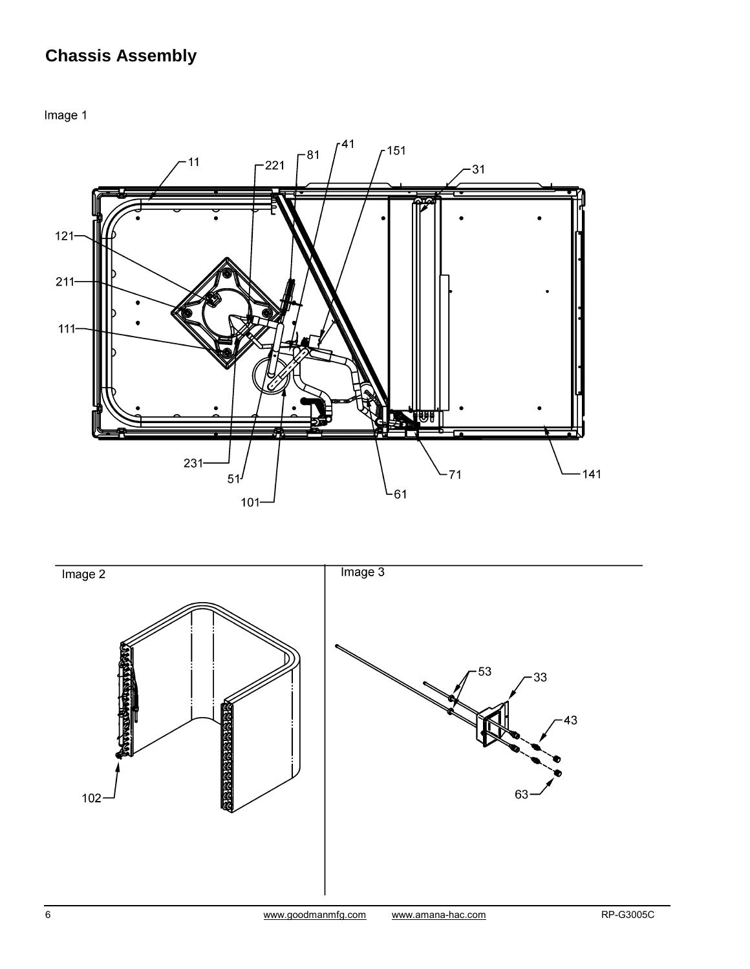# **Chassis Assembly**

Image 1



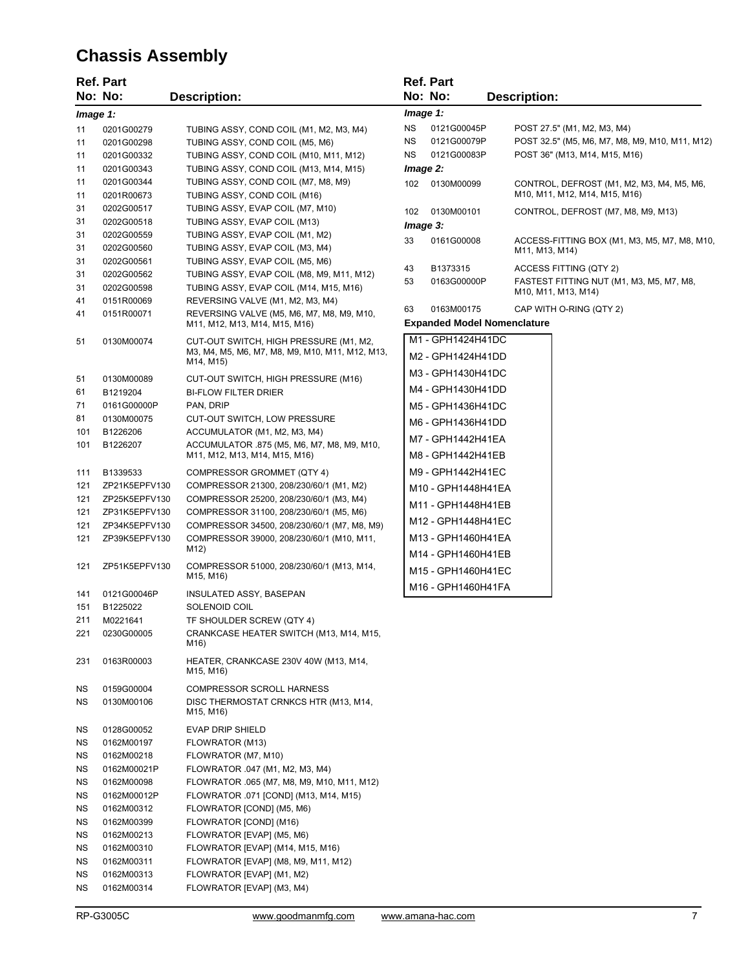# **Chassis Assembly**

|           | <b>Ref. Part</b> |                                                                            |     | <b>Ref. Part</b>                   |                                                                            |
|-----------|------------------|----------------------------------------------------------------------------|-----|------------------------------------|----------------------------------------------------------------------------|
|           | No: No:          | <b>Description:</b>                                                        |     | No: No:                            | <b>Description:</b>                                                        |
| Image 1:  |                  |                                                                            |     | Image 1:                           |                                                                            |
| 11        | 0201G00279       | TUBING ASSY, COND COIL (M1, M2, M3, M4)                                    | NS. | 0121G00045P                        | POST 27.5" (M1, M2, M3, M4)                                                |
| 11        | 0201G00298       | TUBING ASSY, COND COIL (M5, M6)                                            | NS. | 0121G00079P                        | POST 32.5" (M5, M6, M7, M8, M9, M10, M11, M12)                             |
|           |                  |                                                                            | NS. | 0121G00083P                        | POST 36" (M13, M14, M15, M16)                                              |
| 11        | 0201G00332       | TUBING ASSY, COND COIL (M10, M11, M12)                                     |     |                                    |                                                                            |
| 11        | 0201G00343       | TUBING ASSY, COND COIL (M13, M14, M15)                                     |     | lmage 2:                           |                                                                            |
| 11        | 0201G00344       | TUBING ASSY, COND COIL (M7, M8, M9)                                        | 102 | 0130M00099                         | CONTROL, DEFROST (M1, M2, M3, M4, M5, M6,<br>M10, M11, M12, M14, M15, M16) |
| 11        | 0201R00673       | TUBING ASSY, COND COIL (M16)                                               |     |                                    |                                                                            |
| 31        | 0202G00517       | TUBING ASSY, EVAP COIL (M7, M10)                                           | 102 | 0130M00101                         | CONTROL, DEFROST (M7, M8, M9, M13)                                         |
| 31        | 0202G00518       | TUBING ASSY, EVAP COIL (M13)                                               |     | lmage 3:                           |                                                                            |
| 31        | 0202G00559       | TUBING ASSY, EVAP COIL (M1, M2)                                            | 33  | 0161G00008                         | ACCESS-FITTING BOX (M1, M3, M5, M7, M8, M10,                               |
| 31        | 0202G00560       | TUBING ASSY, EVAP COIL (M3, M4)                                            |     |                                    | M11, M13, M14)                                                             |
| 31        | 0202G00561       | TUBING ASSY, EVAP COIL (M5, M6)                                            | 43  | B1373315                           | ACCESS FITTING (QTY 2)                                                     |
| 31        | 0202G00562       | TUBING ASSY, EVAP COIL (M8, M9, M11, M12)                                  | 53  | 0163G00000P                        | FASTEST FITTING NUT (M1, M3, M5, M7, M8,                                   |
| 31        | 0202G00598       | TUBING ASSY, EVAP COIL (M14, M15, M16)                                     |     |                                    | M10, M11, M13, M14)                                                        |
| 41        | 0151R00069       | REVERSING VALVE (M1, M2, M3, M4)                                           | 63  | 0163M00175                         | CAP WITH O-RING (QTY 2)                                                    |
| 41        | 0151R00071       | REVERSING VALVE (M5, M6, M7, M8, M9, M10,<br>M11, M12, M13, M14, M15, M16) |     | <b>Expanded Model Nomenclature</b> |                                                                            |
|           |                  |                                                                            |     |                                    |                                                                            |
| 51        | 0130M00074       | CUT-OUT SWITCH, HIGH PRESSURE (M1, M2,                                     |     | M1 - GPH1424H41DC                  |                                                                            |
|           |                  | M3, M4, M5, M6, M7, M8, M9, M10, M11, M12, M13,<br>M14, M15)               |     | M2 - GPH1424H41DD                  |                                                                            |
|           |                  |                                                                            |     | M3 - GPH1430H41DC                  |                                                                            |
| 51        | 0130M00089       | CUT-OUT SWITCH, HIGH PRESSURE (M16)                                        |     | M4 - GPH1430H41DD                  |                                                                            |
| 61        | B1219204         | <b>BI-FLOW FILTER DRIER</b>                                                |     |                                    |                                                                            |
| 71        | 0161G00000P      | PAN, DRIP                                                                  |     | M5 - GPH1436H41DC                  |                                                                            |
| 81        | 0130M00075       | CUT-OUT SWITCH, LOW PRESSURE                                               |     | M6 - GPH1436H41DD                  |                                                                            |
| 101       | B1226206         | ACCUMULATOR (M1, M2, M3, M4)                                               |     | M7 - GPH1442H41EA                  |                                                                            |
| 101       | B1226207         | ACCUMULATOR .875 (M5, M6, M7, M8, M9, M10,                                 |     |                                    |                                                                            |
|           |                  | M11, M12, M13, M14, M15, M16)                                              |     | M8 - GPH1442H41EB                  |                                                                            |
| 111       | B1339533         | COMPRESSOR GROMMET (QTY 4)                                                 |     | M9 - GPH1442H41EC                  |                                                                            |
| 121       | ZP21K5EPFV130    | COMPRESSOR 21300, 208/230/60/1 (M1, M2)                                    |     | M10 - GPH1448H41EA                 |                                                                            |
| 121       | ZP25K5EPFV130    | COMPRESSOR 25200, 208/230/60/1 (M3, M4)                                    |     | M11 - GPH1448H41EB                 |                                                                            |
| 121       | ZP31K5EPFV130    | COMPRESSOR 31100, 208/230/60/1 (M5, M6)                                    |     |                                    |                                                                            |
| 121       | ZP34K5EPFV130    | COMPRESSOR 34500, 208/230/60/1 (M7, M8, M9)                                |     | M12 - GPH1448H41EC                 |                                                                            |
| 121       | ZP39K5EPFV130    | COMPRESSOR 39000, 208/230/60/1 (M10, M11,                                  |     | M13 - GPH1460H41EA                 |                                                                            |
|           |                  | M12)                                                                       |     | M14 - GPH1460H41EB                 |                                                                            |
| 121       | ZP51K5EPFV130    | COMPRESSOR 51000, 208/230/60/1 (M13, M14,                                  |     | M15 - GPH1460H41EC                 |                                                                            |
|           |                  | M15, M16)                                                                  |     |                                    |                                                                            |
| 141       | 0121G00046P      | INSULATED ASSY, BASEPAN                                                    |     | M16 - GPH1460H41FA                 |                                                                            |
| 151       | B1225022         | SOLENOID COIL                                                              |     |                                    |                                                                            |
| 211       | M0221641         | TF SHOULDER SCREW (QTY 4)                                                  |     |                                    |                                                                            |
| 221       | 0230G00005       | CRANKCASE HEATER SWITCH (M13, M14, M15,                                    |     |                                    |                                                                            |
|           |                  | M16)                                                                       |     |                                    |                                                                            |
| 231       | 0163R00003       | HEATER, CRANKCASE 230V 40W (M13, M14,<br>M15, M16)                         |     |                                    |                                                                            |
| <b>NS</b> | 0159G00004       | <b>COMPRESSOR SCROLL HARNESS</b>                                           |     |                                    |                                                                            |
| ΝS        | 0130M00106       | DISC THERMOSTAT CRNKCS HTR (M13, M14,                                      |     |                                    |                                                                            |
|           |                  | M15, M16)                                                                  |     |                                    |                                                                            |
| ΝS        | 0128G00052       | <b>EVAP DRIP SHIELD</b>                                                    |     |                                    |                                                                            |
| ΝS        | 0162M00197       | FLOWRATOR (M13)                                                            |     |                                    |                                                                            |
| ΝS        | 0162M00218       | FLOWRATOR (M7, M10)                                                        |     |                                    |                                                                            |
| ΝS        | 0162M00021P      | FLOWRATOR .047 (M1, M2, M3, M4)                                            |     |                                    |                                                                            |
| ΝS        | 0162M00098       | FLOWRATOR .065 (M7, M8, M9, M10, M11, M12)                                 |     |                                    |                                                                            |
|           | 0162M00012P      |                                                                            |     |                                    |                                                                            |
| ΝS        |                  | FLOWRATOR .071 [COND] (M13, M14, M15)                                      |     |                                    |                                                                            |
| ΝS        | 0162M00312       | FLOWRATOR [COND] (M5, M6)                                                  |     |                                    |                                                                            |
| ΝS        | 0162M00399       | FLOWRATOR [COND] (M16)                                                     |     |                                    |                                                                            |
| ΝS        | 0162M00213       | FLOWRATOR [EVAP] (M5, M6)                                                  |     |                                    |                                                                            |
| ΝS        | 0162M00310       | FLOWRATOR [EVAP] (M14, M15, M16)                                           |     |                                    |                                                                            |
| ΝS        | 0162M00311       | FLOWRATOR [EVAP] (M8, M9, M11, M12)                                        |     |                                    |                                                                            |
| ΝS        | 0162M00313       | FLOWRATOR [EVAP] (M1, M2)                                                  |     |                                    |                                                                            |
| <b>NS</b> | 0162M00314       | FLOWRATOR [EVAP] (M3, M4)                                                  |     |                                    |                                                                            |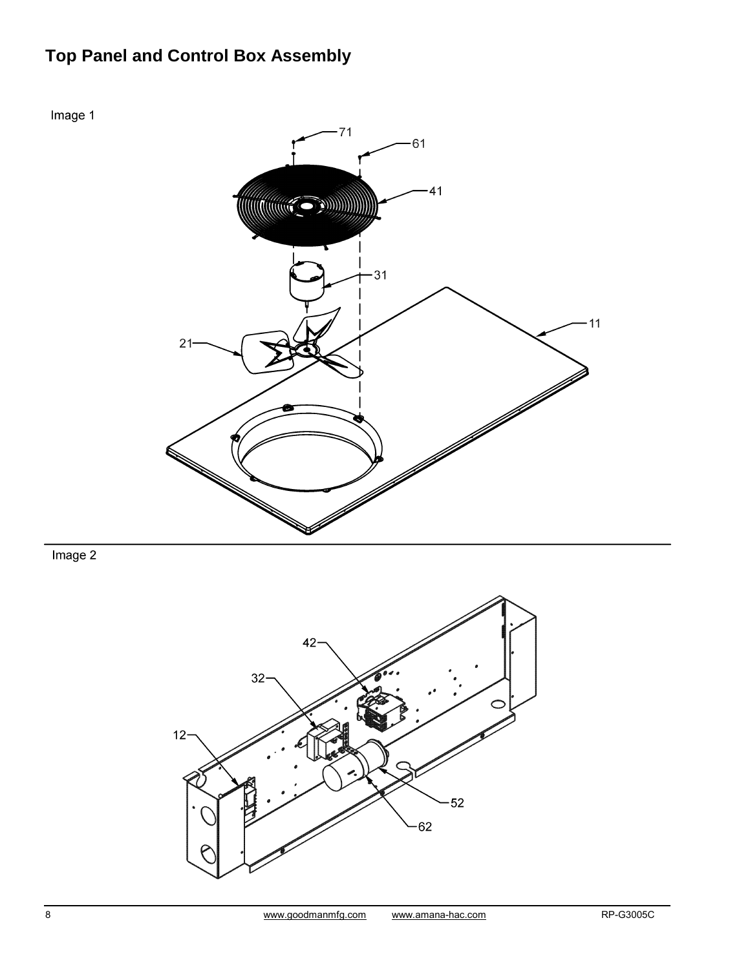# **Top Panel and Control Box Assembly**



 $Image 2$ 

Image 1

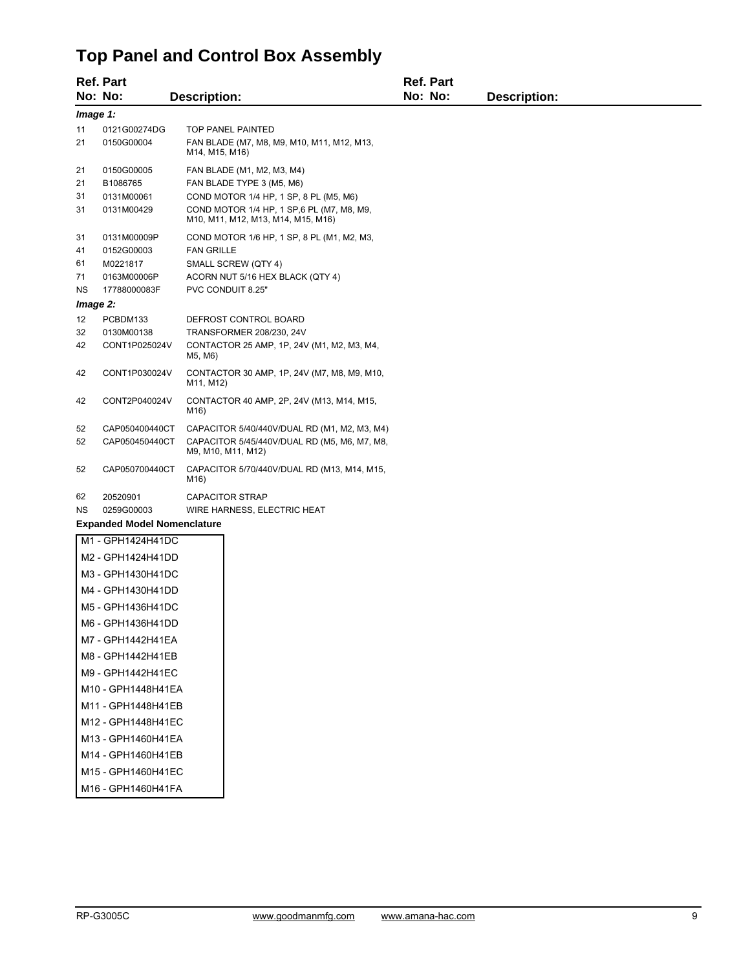#### **Top Panel and Control Box Assembly**

|                                                        | <b>Ref. Part</b>                                                     |                                                                                                                                                                                       | <b>Ref. Part</b> |                     |  |  |
|--------------------------------------------------------|----------------------------------------------------------------------|---------------------------------------------------------------------------------------------------------------------------------------------------------------------------------------|------------------|---------------------|--|--|
|                                                        | No: No:                                                              | <b>Description:</b>                                                                                                                                                                   | No: No:          | <b>Description:</b> |  |  |
| Image 1:                                               |                                                                      |                                                                                                                                                                                       |                  |                     |  |  |
| 11<br>21                                               | 0121G00274DG<br>0150G00004                                           | <b>TOP PANEL PAINTED</b><br>FAN BLADE (M7, M8, M9, M10, M11, M12, M13,<br>M14, M15, M16)                                                                                              |                  |                     |  |  |
| 21<br>21<br>31<br>31                                   | 0150G00005<br>B1086765<br>0131M00061<br>0131M00429                   | FAN BLADE (M1, M2, M3, M4)<br>FAN BLADE TYPE 3 (M5, M6)<br>COND MOTOR 1/4 HP, 1 SP, 8 PL (M5, M6)<br>COND MOTOR 1/4 HP, 1 SP, 6 PL (M7, M8, M9,<br>M10, M11, M12, M13, M14, M15, M16) |                  |                     |  |  |
| 31<br>41<br>61<br>71<br><b>NS</b>                      | 0131M00009P<br>0152G00003<br>M0221817<br>0163M00006P<br>17788000083F | COND MOTOR 1/6 HP, 1 SP, 8 PL (M1, M2, M3,<br><b>FAN GRILLE</b><br>SMALL SCREW (QTY 4)<br>ACORN NUT 5/16 HEX BLACK (QTY 4)<br>PVC CONDUIT 8.25"                                       |                  |                     |  |  |
| Image 2:<br>12                                         | PCBDM133                                                             |                                                                                                                                                                                       |                  |                     |  |  |
| 32<br>42                                               | 0130M00138<br>CONT1P025024V                                          | DEFROST CONTROL BOARD<br>TRANSFORMER 208/230, 24V<br>CONTACTOR 25 AMP, 1P, 24V (M1, M2, M3, M4,<br>M5, M6)                                                                            |                  |                     |  |  |
| 42                                                     | CONT1P030024V                                                        | CONTACTOR 30 AMP, 1P, 24V (M7, M8, M9, M10,<br>M11, M12)                                                                                                                              |                  |                     |  |  |
| 42                                                     | CONT2P040024V                                                        | CONTACTOR 40 AMP, 2P, 24V (M13, M14, M15,<br>M16)                                                                                                                                     |                  |                     |  |  |
| 52                                                     | CAP050400440CT                                                       | CAPACITOR 5/40/440V/DUAL RD (M1, M2, M3, M4)                                                                                                                                          |                  |                     |  |  |
| 52                                                     | CAP050450440CT                                                       | CAPACITOR 5/45/440V/DUAL RD (M5, M6, M7, M8,<br>M9, M10, M11, M12)                                                                                                                    |                  |                     |  |  |
| 52                                                     | CAP050700440CT                                                       | CAPACITOR 5/70/440V/DUAL RD (M13, M14, M15,<br>M16)                                                                                                                                   |                  |                     |  |  |
| 62                                                     | 20520901                                                             | <b>CAPACITOR STRAP</b>                                                                                                                                                                |                  |                     |  |  |
| 0259G00003<br>WIRE HARNESS, ELECTRIC HEAT<br><b>NS</b> |                                                                      |                                                                                                                                                                                       |                  |                     |  |  |
| <b>Expanded Model Nomenclature</b>                     |                                                                      |                                                                                                                                                                                       |                  |                     |  |  |
|                                                        | M1 - GPH1424H41DC                                                    |                                                                                                                                                                                       |                  |                     |  |  |
|                                                        | M2 - GPH1424H41DD                                                    |                                                                                                                                                                                       |                  |                     |  |  |
|                                                        | M3 - GPH1430H41DC                                                    |                                                                                                                                                                                       |                  |                     |  |  |
|                                                        | M4 - GPH1430H41DD                                                    |                                                                                                                                                                                       |                  |                     |  |  |
|                                                        | M5 - GPH1436H41DC                                                    |                                                                                                                                                                                       |                  |                     |  |  |
|                                                        | M6 - GPH1436H41DD                                                    |                                                                                                                                                                                       |                  |                     |  |  |
|                                                        | M7 - GPH1442H41EA                                                    |                                                                                                                                                                                       |                  |                     |  |  |
|                                                        | M8 - GPH1442H41EB                                                    |                                                                                                                                                                                       |                  |                     |  |  |
|                                                        | M9 - GPH1442H41EC                                                    |                                                                                                                                                                                       |                  |                     |  |  |

- M10 GPH1448H41EA
- M11 GPH1448H41EB
- M12 GPH1448H41EC
- M13 GPH1460H41EA
- M14 GPH1460H41EB
- M15 GPH1460H41EC
- M16 GPH1460H41FA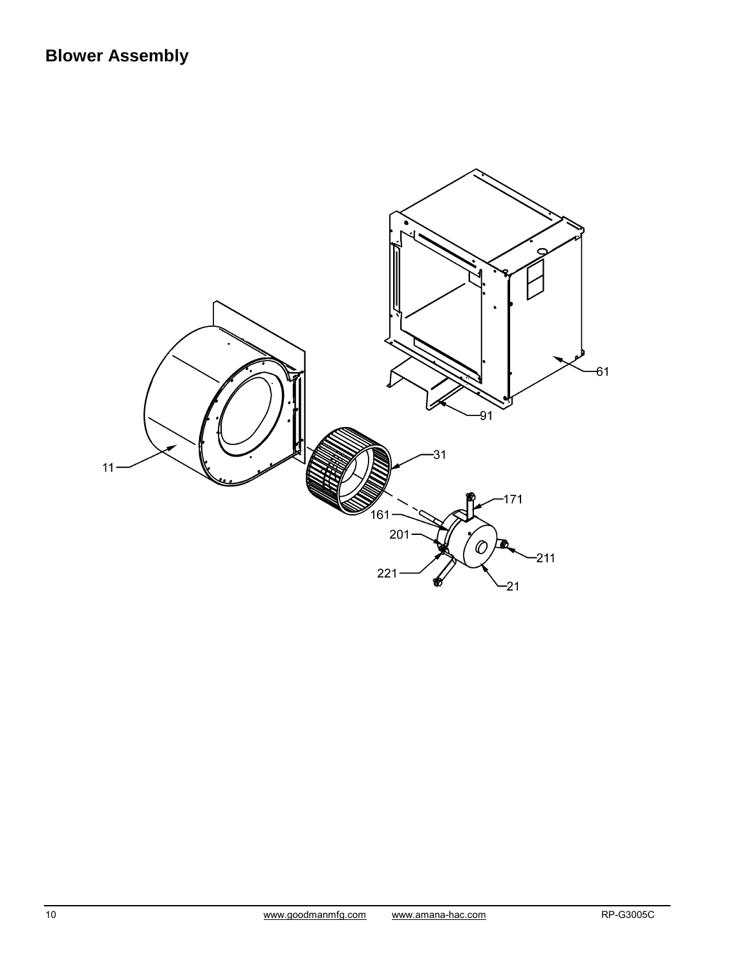# **Blower Assembly**